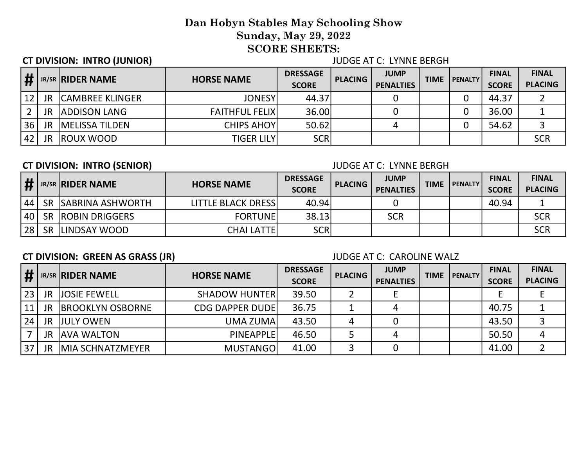## CT DIVISION: INTRO (JUNIOR) JUDGE AT C: LYNNE BERGH

| #  |           | <b>JR/SR RIDER NAME</b> | <b>HORSE NAME</b>      | <b>DRESSAGE</b><br><b>SCORE</b> | <b>PLACING</b> | <b>JUMP</b><br><b>PENALTIES</b> | <b>TIME</b> | <b>I PENALTY</b> | <b>FINAL</b><br><b>SCORE</b> | <b>FINAL</b><br><b>PLACING</b> |
|----|-----------|-------------------------|------------------------|---------------------------------|----------------|---------------------------------|-------------|------------------|------------------------------|--------------------------------|
| 12 | JR.       | <b>CAMBREE KLINGER</b>  | <b>JONESY</b>          | 44.37                           |                |                                 |             |                  | 44.37                        |                                |
|    | <b>JR</b> | <b>ADDISON LANG</b>     | <b>FAITHFUL FELIXI</b> | 36.00                           |                |                                 |             |                  | 36.00                        |                                |
| 36 | JR        | <b>IMELISSA TILDEN</b>  | <b>CHIPS AHOY</b>      | 50.62                           |                |                                 |             |                  | 54.62                        |                                |
| 42 | JR        | <b>IROUX WOOD</b>       | <b>TIGER LILY</b>      | <b>SCR</b>                      |                |                                 |             |                  |                              | <b>SCR</b>                     |

## CT DIVISION: INTRO (SENIOR) JUDGE AT C: LYNNE BERGH

|    |           | <b>JR/SR RIDER NAME</b> | <b>HORSE NAME</b>          | <b>DRESSAGE</b><br><b>SCORE</b> | <b>PLACING</b> | <b>JUMP</b><br><b>PENALTIES</b> | <b>TIME</b> | <b>I PENALTY</b> | <b>FINAL</b><br><b>SCORE</b> | <b>FINAL</b><br><b>PLACING</b> |
|----|-----------|-------------------------|----------------------------|---------------------------------|----------------|---------------------------------|-------------|------------------|------------------------------|--------------------------------|
| 44 |           | SR SABRINA ASHWORTH     | <b>LITTLE BLACK DRESSI</b> | 40.94                           |                |                                 |             |                  | 40.94                        |                                |
| 40 |           | SR ROBIN DRIGGERS       | <b>FORTUNE</b>             | 38.13                           |                | SCR                             |             |                  |                              | SCR                            |
| 28 | <b>SR</b> | LINDSAY WOOD            | <b>CHAI LATTEI</b>         | <b>SCR</b>                      |                |                                 |             |                  |                              | SCR                            |

# CT DIVISION: GREEN AS GRASS (JR) JUDGE AT C: CAROLINE WALZ

| $\vert \#$ |           | <b>JR/SR RIDER NAME</b>  | <b>HORSE NAME</b>       | <b>DRESSAGE</b><br><b>SCORE</b> | <b>PLACING</b> | <b>JUMP</b><br><b>PENALTIES</b> | <b>TIME</b> | <b>PENALTY</b> | <b>FINAL</b><br><b>SCORE</b> | <b>FINAL</b><br><b>PLACING</b> |
|------------|-----------|--------------------------|-------------------------|---------------------------------|----------------|---------------------------------|-------------|----------------|------------------------------|--------------------------------|
| 23         | JR.       | <b>JJOSIE FEWELL</b>     | <b>SHADOW HUNTER</b>    | 39.50                           |                |                                 |             |                |                              |                                |
| 11         | JR        | <b>IBROOKLYN OSBORNE</b> | <b>CDG DAPPER DUDEI</b> | 36.75                           |                |                                 |             |                | 40.75                        |                                |
| 24         | JR        | <b>JJULY OWEN</b>        | UMA ZUMAI               | 43.50                           |                |                                 |             |                | 43.50                        |                                |
|            | <b>JR</b> | <b>JAVA WALTON</b>       | PINEAPPLE               | 46.50                           |                |                                 |             |                | 50.50                        |                                |
| 37         | JR        | <b>IMIA SCHNATZMEYER</b> | <b>MUSTANGOI</b>        | 41.00                           |                |                                 |             |                | 41.00                        |                                |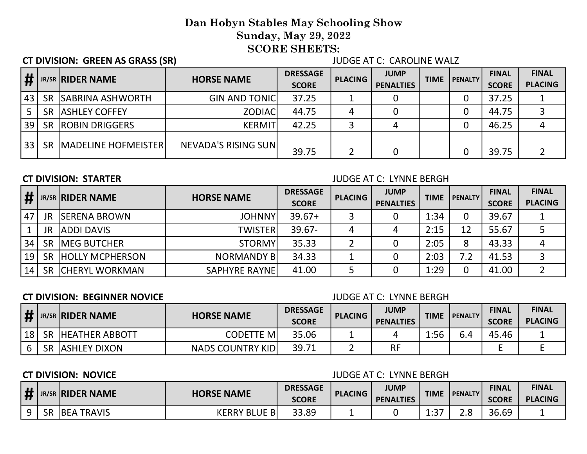CT DIVISION: GREEN AS GRASS (SR) JUDGE AT C: CAROLINE WALZ

| $\vert \sharp$ |           | <b>JR/SR RIDER NAME</b>    | <b>HORSE NAME</b>    | <b>DRESSAGE</b><br><b>SCORE</b> | <b>PLACING</b> | <b>JUMP</b><br><b>PENALTIES</b> | <b>TIME</b> | l PENALTY | <b>FINAL</b><br><b>SCORE</b> | <b>FINAL</b><br><b>PLACING</b> |
|----------------|-----------|----------------------------|----------------------|---------------------------------|----------------|---------------------------------|-------------|-----------|------------------------------|--------------------------------|
| 43             |           | SR SABRINA ASHWORTH        | <b>GIN AND TONIC</b> | 37.25                           |                |                                 |             |           | 37.25                        |                                |
|                | <b>SR</b> | <b>ASHLEY COFFEY</b>       | <b>ZODIAC</b>        | 44.75                           | 4              |                                 |             |           | 44.75                        |                                |
| 39             | <b>SR</b> | <b>ROBIN DRIGGERS</b>      | <b>KERMIT</b>        | 42.25                           |                | 4                               |             |           | 46.25                        |                                |
| ' 33 .         | <b>SR</b> | <b>MADELINE HOFMEISTER</b> | NEVADA'S RISING SUN  | 39.75                           |                |                                 |             |           | 39.75                        |                                |

### CT DIVISION: STARTER JUDGE AT C: LYNNE BERGH

| ш  |           | JR/SR RIDER NAME       | <b>HORSE NAME</b>    | <b>DRESSAGE</b><br><b>SCORE</b> | <b>PLACING</b> | <b>JUMP</b><br><b>PENALTIES</b> | <b>TIME</b> | <b>I PENALTY</b> | <b>FINAL</b><br><b>SCORE</b> | <b>FINAL</b><br><b>PLACING</b> |
|----|-----------|------------------------|----------------------|---------------------------------|----------------|---------------------------------|-------------|------------------|------------------------------|--------------------------------|
| 47 | <b>JR</b> | <b>ISERENA BROWN</b>   | <b>JOHNNY</b>        | $39.67+$                        |                |                                 | 1:34        |                  | 39.67                        |                                |
|    | <b>JR</b> | <b>ADDI DAVIS</b>      | <b>TWISTER</b>       | $39.67 -$                       |                |                                 | 2:15        | 12               | 55.67                        |                                |
| 34 | <b>SR</b> | <b>IMEG BUTCHER</b>    | <b>STORMY</b>        | 35.33                           |                |                                 | 2:05        |                  | 43.33                        |                                |
| 19 | <b>SR</b> | <b>HOLLY MCPHERSON</b> | <b>NORMANDY BI</b>   | 34.33                           |                |                                 | 2:03        |                  | 41.53                        |                                |
| 14 | <b>SR</b> | <b>ICHERYL WORKMAN</b> | <b>SAPHYRE RAYNE</b> | 41.00                           |                |                                 | 1:29        |                  | 41.00                        |                                |

## **CT DIVISION: BEGINNER NOVICE CONSUMING A SECOND CONSUMING A SECOND CONSUMING A SECOND CONSUMING A SECOND CONSUMING A SECOND AND A SECOND A SECOND A SECOND A SECOND A SECOND A SECOND A SECOND A SECOND A SECOND A SECOND A**

|    | JR/SR <b>RIDER NAME</b>  | <b>HORSE NAME</b>       | <b>DRESSAGE</b><br><b>SCORE</b> | <b>PLACING</b> | <b>JUMP</b><br><b>PENALTIES</b> | <b>TIME</b> | <b>I PENALTY</b> | <b>FINAL</b><br><b>SCORE</b> | <b>FINAL</b><br><b>PLACING</b> |
|----|--------------------------|-------------------------|---------------------------------|----------------|---------------------------------|-------------|------------------|------------------------------|--------------------------------|
| 18 | <b>SR HEATHER ABBOTT</b> | <b>CODETTE MI</b>       | 35.06                           |                |                                 | 1:56        | 6.4              | 45.46                        |                                |
|    | <b>SR ASSHLEY DIXON</b>  | <b>NADS COUNTRY KID</b> | 39.71                           |                | RF                              |             |                  |                              |                                |

## **CT DIVISION: NOVICE CT DIVISION: NOVICE**

| <b>II</b> |    | <b>JR/SR RIDER NAME</b> | <b>HORSE NAME</b>    | <b>DRESSAGE</b><br><b>SCORE</b> | <b>PLACING</b> | <b>JUMP</b><br><b>PENALTIES</b> | <b>TIME</b> | l PENALTY | <b>FINAL</b><br><b>SCORE</b> | <b>FINAL</b><br><b>PLACING</b> |
|-----------|----|-------------------------|----------------------|---------------------------------|----------------|---------------------------------|-------------|-----------|------------------------------|--------------------------------|
|           | SR | <b>JBEA TRAVIS</b>      | <b>KERRY BLUE BI</b> | 33.89                           |                |                                 | 1.27<br>∸.J | ے ۔       | 36.69                        |                                |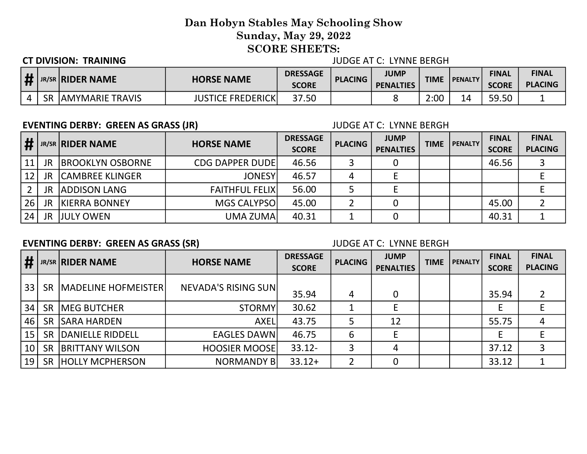### CT DIVISION: TRAINING JUDGE AT C: LYNNE BERGH

|           | <b>JR/SR RIDER NAME</b> | <b>HORSE NAME</b>                          | <b>DRESSAGE</b><br><b>SCORE</b> | <b>PLACING</b> | <b>JUMP</b><br><b>PENALTIES</b> | TIME | <b>PENALTY</b> | <b>FINAL</b><br><b>SCORE</b> | <b>FINAL</b><br><b>PLACING</b> |
|-----------|-------------------------|--------------------------------------------|---------------------------------|----------------|---------------------------------|------|----------------|------------------------------|--------------------------------|
| <b>SR</b> | <b>JAMYMARIE TRAVIS</b> | E FREDERICK <sup>I</sup><br><b>IUSTICE</b> | 37.50                           |                |                                 | 2:00 | 14             | 59.50                        |                                |

### EVENTING DERBY: GREEN AS GRASS (JR) JUDGE AT C: LYNNE BERGH

| $\frac{1}{2}$ |           | <b>JR/SR RIDER NAME</b>  | <b>HORSE NAME</b>       | <b>DRESSAGE</b><br><b>SCORE</b> | <b>PLACING</b> | <b>JUMP</b><br><b>PENALTIES</b> | <b>TIME</b> | <b>PENALTY</b> | <b>FINAL</b><br><b>SCORE</b> | <b>FINAL</b><br><b>PLACING</b> |
|---------------|-----------|--------------------------|-------------------------|---------------------------------|----------------|---------------------------------|-------------|----------------|------------------------------|--------------------------------|
| 11            | <b>JR</b> | <b>IBROOKLYN OSBORNE</b> | <b>CDG DAPPER DUDEI</b> | 46.56                           |                |                                 |             |                | 46.56                        |                                |
| 12            | <b>JR</b> | <b>CAMBREE KLINGER</b>   | <b>JONESY</b>           | 46.57                           |                |                                 |             |                |                              |                                |
|               | <b>JR</b> | <b>ADDISON LANG</b>      | <b>FAITHFUL FELIXI</b>  | 56.00                           |                |                                 |             |                |                              |                                |
| 26            | <b>JR</b> | <b>KIERRA BONNEY</b>     | MGS CALYPSO             | 45.00                           |                |                                 |             |                | 45.00                        |                                |
| 24            | JR        | <b>JJULY OWEN</b>        | UMA ZUMAI               | 40.31                           |                |                                 |             |                | 40.31                        |                                |

## EVENTING DERBY: GREEN AS GRASS (SR) JUDGE AT C: LYNNE BERGH

| #  |           | <b>JR/SR RIDER NAME</b>    | <b>HORSE NAME</b>    | <b>DRESSAGE</b><br><b>SCORE</b> | <b>PLACING</b> | <b>JUMP</b><br><b>PENALTIES</b> | <b>TIME</b> | <b>PENALTY</b> | <b>FINAL</b><br><b>SCORE</b> | <b>FINAL</b><br><b>PLACING</b> |
|----|-----------|----------------------------|----------------------|---------------------------------|----------------|---------------------------------|-------------|----------------|------------------------------|--------------------------------|
| 33 | <b>SR</b> | <b>MADELINE HOFMEISTER</b> | NEVADA'S RISING SUN  | 35.94                           | 4              | 0                               |             |                | 35.94                        |                                |
| 34 | <b>SR</b> | <b>IMEG BUTCHER</b>        | <b>STORMY</b>        | 30.62                           |                |                                 |             |                |                              |                                |
| 46 | <b>SR</b> | <b>SARA HARDEN</b>         | <b>AXEL</b>          | 43.75                           |                | 12                              |             |                | 55.75                        |                                |
| 15 | <b>SR</b> | <b>IDANIELLE RIDDELL</b>   | <b>EAGLES DAWN</b>   | 46.75                           | 6              |                                 |             |                |                              |                                |
| 10 | <b>SR</b> | <b>BRITTANY WILSON</b>     | <b>HOOSIER MOOSE</b> | $33.12 -$                       |                |                                 |             |                | 37.12                        |                                |
| 19 | <b>SR</b> | <b>HOLLY MCPHERSON</b>     | <b>NORMANDY B</b>    | $33.12+$                        |                | 0                               |             |                | 33.12                        |                                |